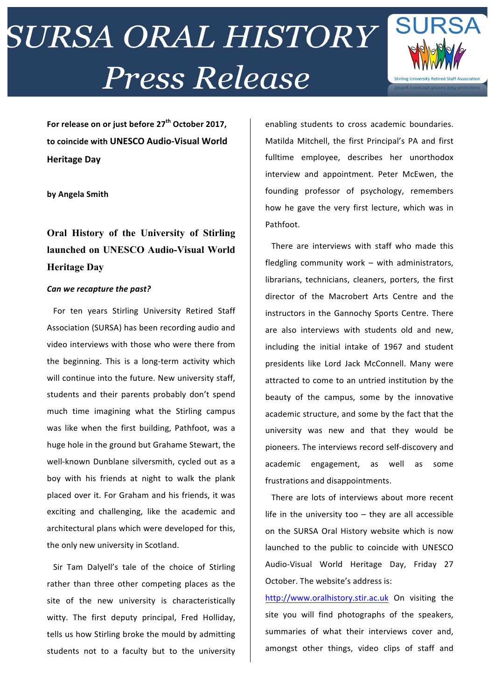# **SURSA ORAL HISTORY Press Release**



For release on or just before  $27<sup>th</sup>$  October 2017, to coincide with UNESCO Audio-Visual World **Heritage Day**

**by Angela Smith**

### **Oral History of the University of Stirling launched on UNESCO Audio-Visual World Heritage Day**

### *Can we recapture the past?*

For ten years Stirling University Retired Staff Association (SURSA) has been recording audio and video interviews with those who were there from the beginning. This is a long-term activity which will continue into the future. New university staff, students and their parents probably don't spend much time imagining what the Stirling campus was like when the first building, Pathfoot, was a huge hole in the ground but Grahame Stewart, the well-known Dunblane silversmith, cycled out as a boy with his friends at night to walk the plank placed over it. For Graham and his friends, it was exciting and challenging, like the academic and architectural plans which were developed for this, the only new university in Scotland.

Sir Tam Dalyell's tale of the choice of Stirling rather than three other competing places as the site of the new university is characteristically witty. The first deputy principal, Fred Holliday, tells us how Stirling broke the mould by admitting students not to a faculty but to the university

enabling students to cross academic boundaries. Matilda Mitchell, the first Principal's PA and first fulltime employee, describes her unorthodox interview and appointment. Peter McEwen, the founding professor of psychology, remembers how he gave the very first lecture, which was in Pathfoot. 

There are interviews with staff who made this fledgling community work  $-$  with administrators, librarians, technicians, cleaners, porters, the first director of the Macrobert Arts Centre and the instructors in the Gannochy Sports Centre. There are also interviews with students old and new, including the initial intake of 1967 and student presidents like Lord Jack McConnell. Many were attracted to come to an untried institution by the beauty of the campus, some by the innovative academic structure, and some by the fact that the university was new and that they would be pioneers. The interviews record self-discovery and academic engagement, as well as some frustrations and disappointments.

There are lots of interviews about more recent life in the university too  $-$  they are all accessible on the SURSA Oral History website which is now launched to the public to coincide with UNESCO Audio-Visual World Heritage Day, Friday 27 October. The website's address is:

http://www.oralhistory.stir.ac.uk On visiting the site you will find photographs of the speakers, summaries of what their interviews cover and, amongst other things, video clips of staff and